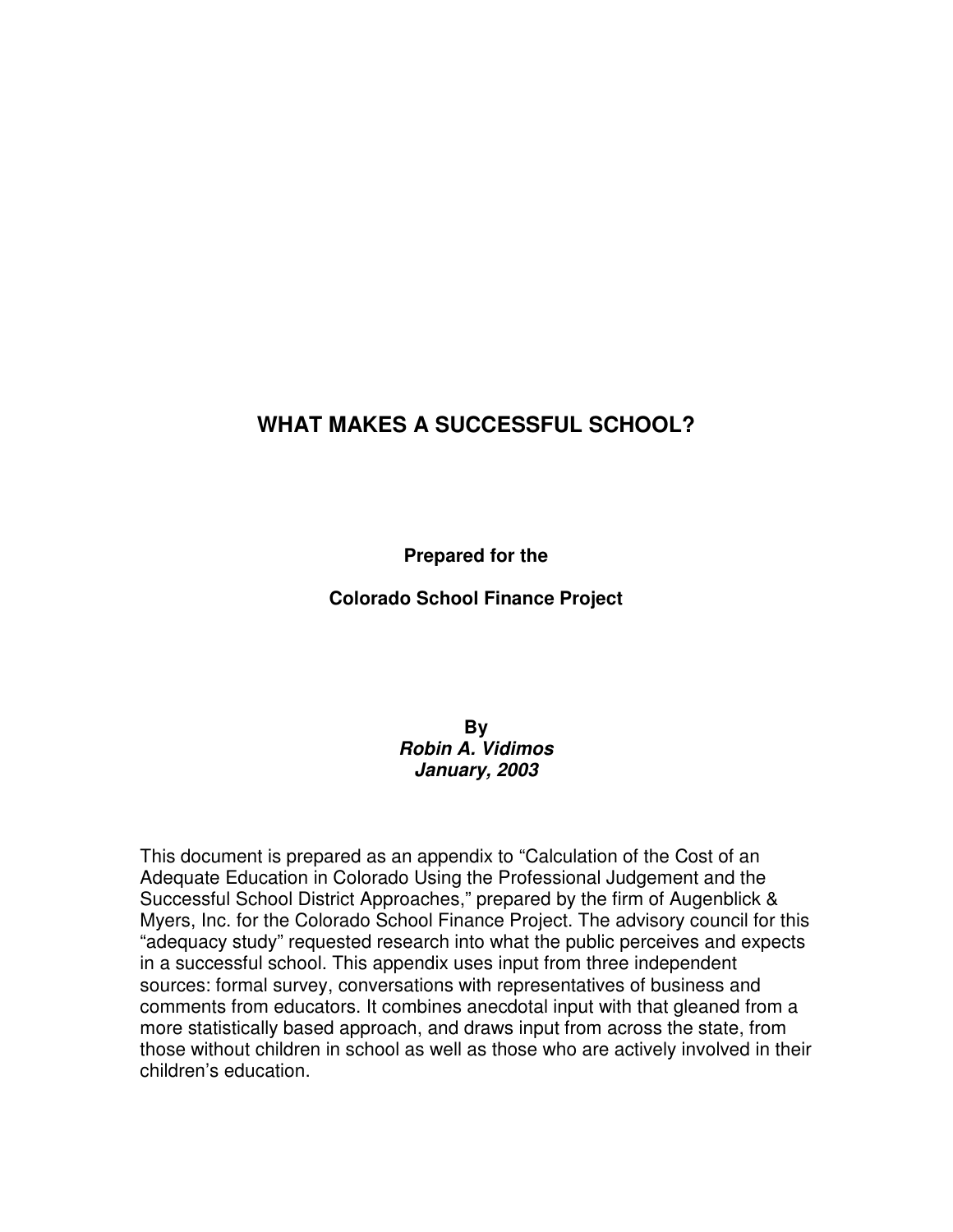## **WHAT MAKES A SUCCESSFUL SCHOOL?**

**Prepared for the** 

**Colorado School Finance Project** 

**By Robin A. Vidimos January, 2003**

This document is prepared as an appendix to "Calculation of the Cost of an Adequate Education in Colorado Using the Professional Judgement and the Successful School District Approaches," prepared by the firm of Augenblick & Myers, Inc. for the Colorado School Finance Project. The advisory council for this "adequacy study" requested research into what the public perceives and expects in a successful school. This appendix uses input from three independent sources: formal survey, conversations with representatives of business and comments from educators. It combines anecdotal input with that gleaned from a more statistically based approach, and draws input from across the state, from those without children in school as well as those who are actively involved in their children's education.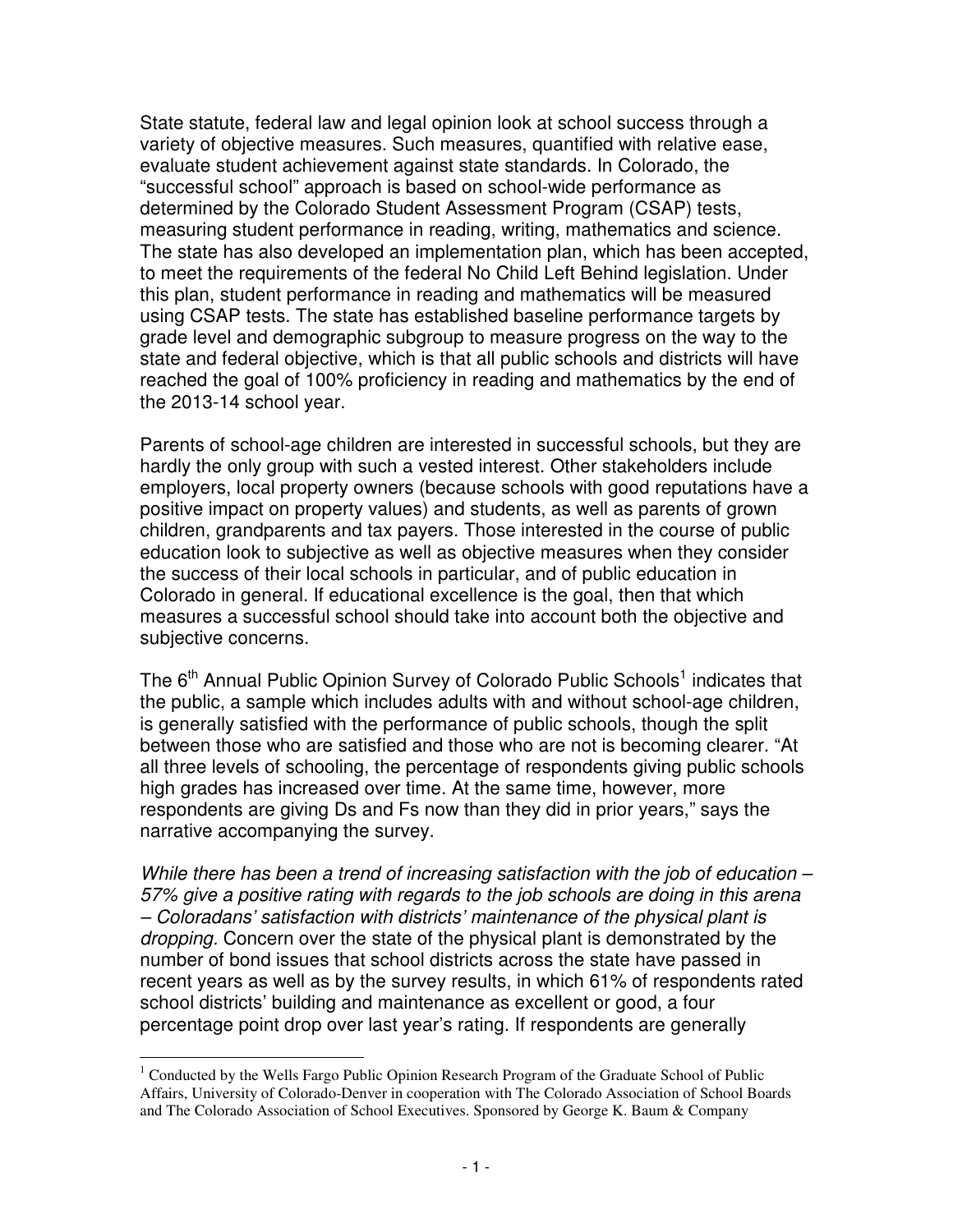State statute, federal law and legal opinion look at school success through a variety of objective measures. Such measures, quantified with relative ease, evaluate student achievement against state standards. In Colorado, the "successful school" approach is based on school-wide performance as determined by the Colorado Student Assessment Program (CSAP) tests, measuring student performance in reading, writing, mathematics and science. The state has also developed an implementation plan, which has been accepted, to meet the requirements of the federal No Child Left Behind legislation. Under this plan, student performance in reading and mathematics will be measured using CSAP tests. The state has established baseline performance targets by grade level and demographic subgroup to measure progress on the way to the state and federal objective, which is that all public schools and districts will have reached the goal of 100% proficiency in reading and mathematics by the end of the 2013-14 school year.

Parents of school-age children are interested in successful schools, but they are hardly the only group with such a vested interest. Other stakeholders include employers, local property owners (because schools with good reputations have a positive impact on property values) and students, as well as parents of grown children, grandparents and tax payers. Those interested in the course of public education look to subjective as well as objective measures when they consider the success of their local schools in particular, and of public education in Colorado in general. If educational excellence is the goal, then that which measures a successful school should take into account both the objective and subjective concerns.

The 6<sup>th</sup> Annual Public Opinion Survey of Colorado Public Schools<sup>1</sup> indicates that the public, a sample which includes adults with and without school-age children, is generally satisfied with the performance of public schools, though the split between those who are satisfied and those who are not is becoming clearer. "At all three levels of schooling, the percentage of respondents giving public schools high grades has increased over time. At the same time, however, more respondents are giving Ds and Fs now than they did in prior years," says the narrative accompanying the survey.

While there has been a trend of increasing satisfaction with the job of education – 57% give a positive rating with regards to the job schools are doing in this arena – Coloradans' satisfaction with districts' maintenance of the physical plant is dropping. Concern over the state of the physical plant is demonstrated by the number of bond issues that school districts across the state have passed in recent years as well as by the survey results, in which 61% of respondents rated school districts' building and maintenance as excellent or good, a four percentage point drop over last year's rating. If respondents are generally

 $\overline{a}$ <sup>1</sup> Conducted by the Wells Fargo Public Opinion Research Program of the Graduate School of Public Affairs, University of Colorado-Denver in cooperation with The Colorado Association of School Boards and The Colorado Association of School Executives. Sponsored by George K. Baum & Company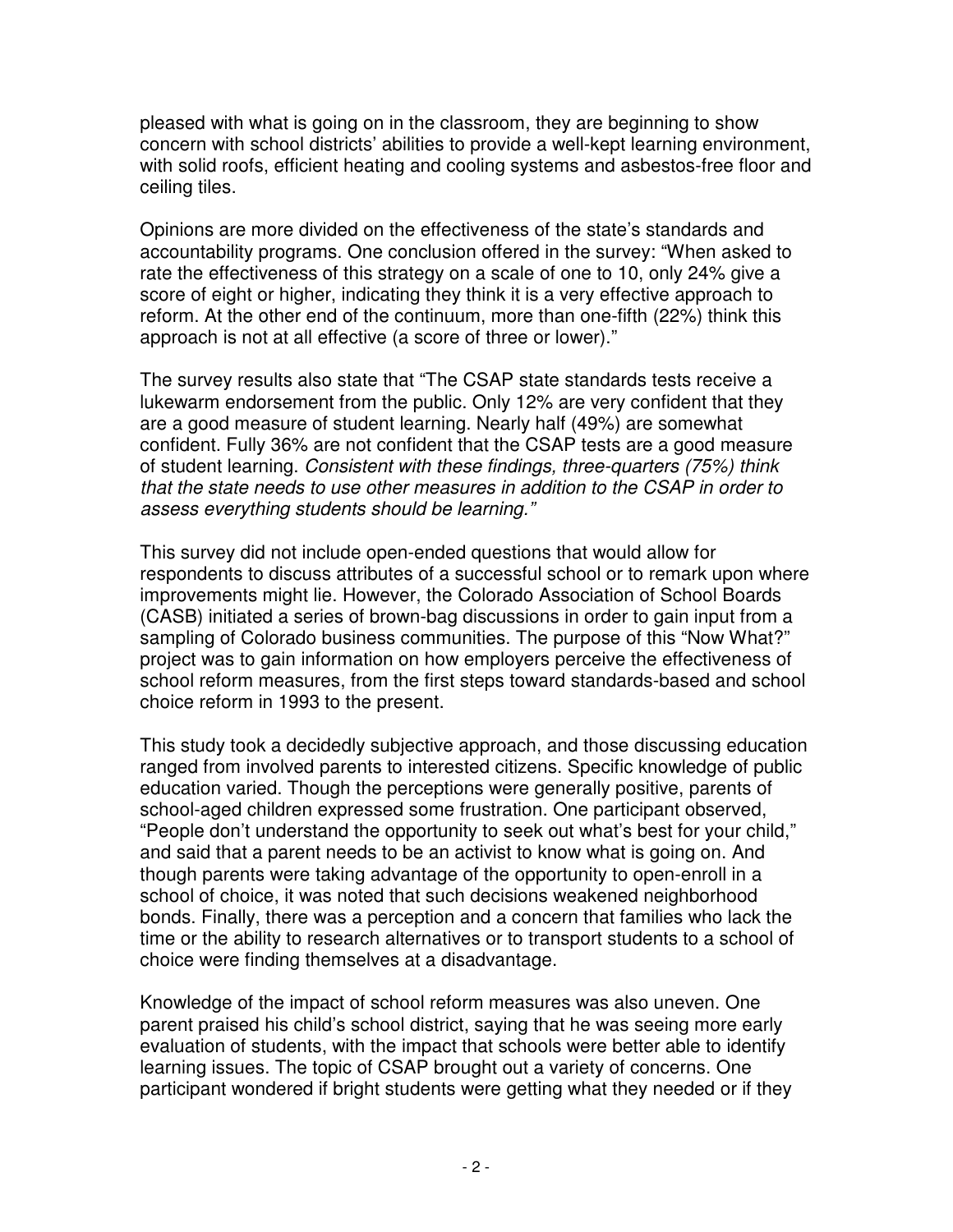pleased with what is going on in the classroom, they are beginning to show concern with school districts' abilities to provide a well-kept learning environment, with solid roofs, efficient heating and cooling systems and asbestos-free floor and ceiling tiles.

Opinions are more divided on the effectiveness of the state's standards and accountability programs. One conclusion offered in the survey: "When asked to rate the effectiveness of this strategy on a scale of one to 10, only 24% give a score of eight or higher, indicating they think it is a very effective approach to reform. At the other end of the continuum, more than one-fifth (22%) think this approach is not at all effective (a score of three or lower)."

The survey results also state that "The CSAP state standards tests receive a lukewarm endorsement from the public. Only 12% are very confident that they are a good measure of student learning. Nearly half (49%) are somewhat confident. Fully 36% are not confident that the CSAP tests are a good measure of student learning. Consistent with these findings, three-quarters (75%) think that the state needs to use other measures in addition to the CSAP in order to assess everything students should be learning."

This survey did not include open-ended questions that would allow for respondents to discuss attributes of a successful school or to remark upon where improvements might lie. However, the Colorado Association of School Boards (CASB) initiated a series of brown-bag discussions in order to gain input from a sampling of Colorado business communities. The purpose of this "Now What?" project was to gain information on how employers perceive the effectiveness of school reform measures, from the first steps toward standards-based and school choice reform in 1993 to the present.

This study took a decidedly subjective approach, and those discussing education ranged from involved parents to interested citizens. Specific knowledge of public education varied. Though the perceptions were generally positive, parents of school-aged children expressed some frustration. One participant observed, "People don't understand the opportunity to seek out what's best for your child," and said that a parent needs to be an activist to know what is going on. And though parents were taking advantage of the opportunity to open-enroll in a school of choice, it was noted that such decisions weakened neighborhood bonds. Finally, there was a perception and a concern that families who lack the time or the ability to research alternatives or to transport students to a school of choice were finding themselves at a disadvantage.

Knowledge of the impact of school reform measures was also uneven. One parent praised his child's school district, saying that he was seeing more early evaluation of students, with the impact that schools were better able to identify learning issues. The topic of CSAP brought out a variety of concerns. One participant wondered if bright students were getting what they needed or if they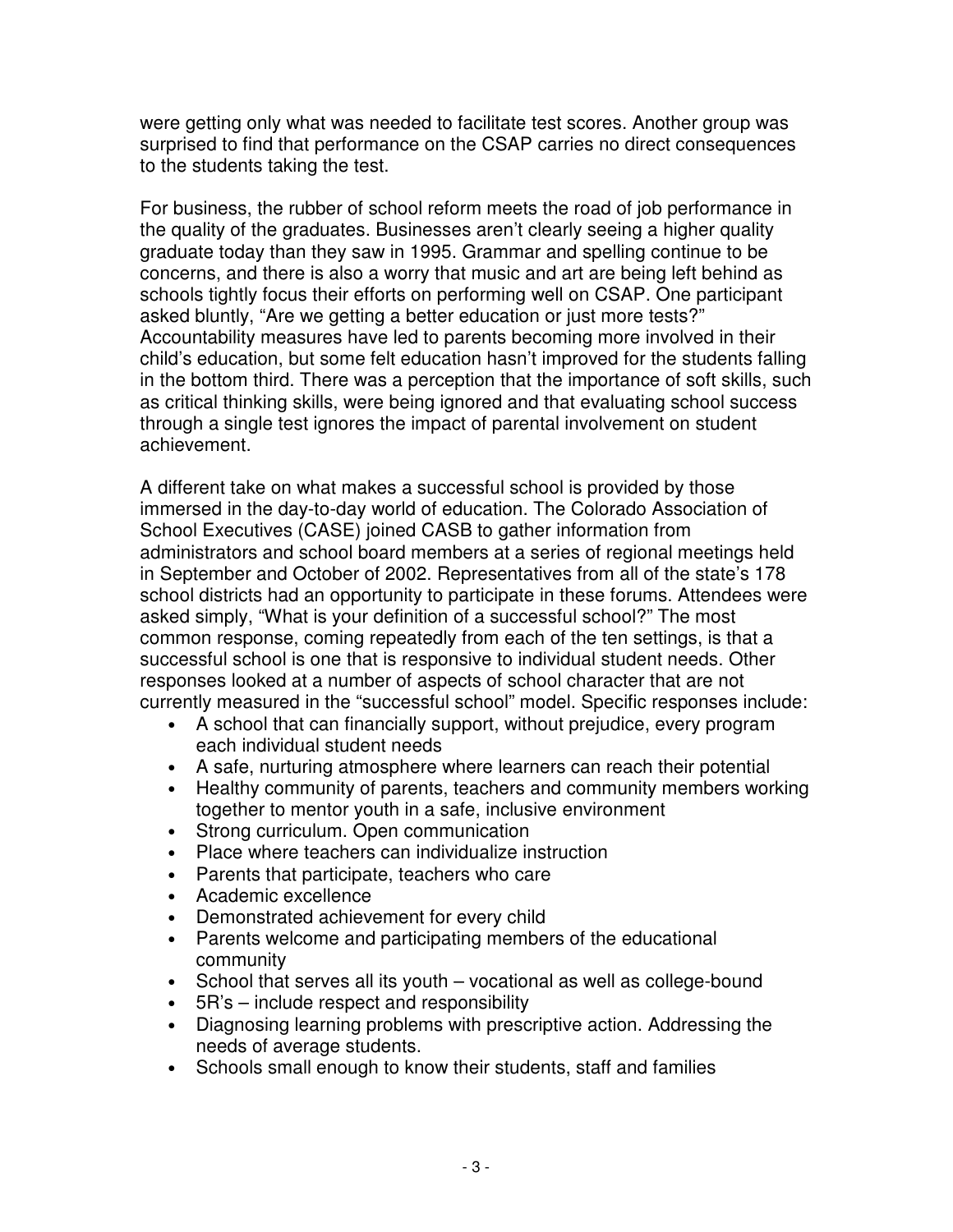were getting only what was needed to facilitate test scores. Another group was surprised to find that performance on the CSAP carries no direct consequences to the students taking the test.

For business, the rubber of school reform meets the road of job performance in the quality of the graduates. Businesses aren't clearly seeing a higher quality graduate today than they saw in 1995. Grammar and spelling continue to be concerns, and there is also a worry that music and art are being left behind as schools tightly focus their efforts on performing well on CSAP. One participant asked bluntly, "Are we getting a better education or just more tests?" Accountability measures have led to parents becoming more involved in their child's education, but some felt education hasn't improved for the students falling in the bottom third. There was a perception that the importance of soft skills, such as critical thinking skills, were being ignored and that evaluating school success through a single test ignores the impact of parental involvement on student achievement.

A different take on what makes a successful school is provided by those immersed in the day-to-day world of education. The Colorado Association of School Executives (CASE) joined CASB to gather information from administrators and school board members at a series of regional meetings held in September and October of 2002. Representatives from all of the state's 178 school districts had an opportunity to participate in these forums. Attendees were asked simply, "What is your definition of a successful school?" The most common response, coming repeatedly from each of the ten settings, is that a successful school is one that is responsive to individual student needs. Other responses looked at a number of aspects of school character that are not currently measured in the "successful school" model. Specific responses include:

- A school that can financially support, without prejudice, every program each individual student needs
- A safe, nurturing atmosphere where learners can reach their potential
- Healthy community of parents, teachers and community members working together to mentor youth in a safe, inclusive environment
- Strong curriculum. Open communication
- Place where teachers can individualize instruction
- Parents that participate, teachers who care
- Academic excellence
- Demonstrated achievement for every child
- Parents welcome and participating members of the educational community
- School that serves all its youth vocational as well as college-bound
- 5R's include respect and responsibility
- Diagnosing learning problems with prescriptive action. Addressing the needs of average students.
- Schools small enough to know their students, staff and families